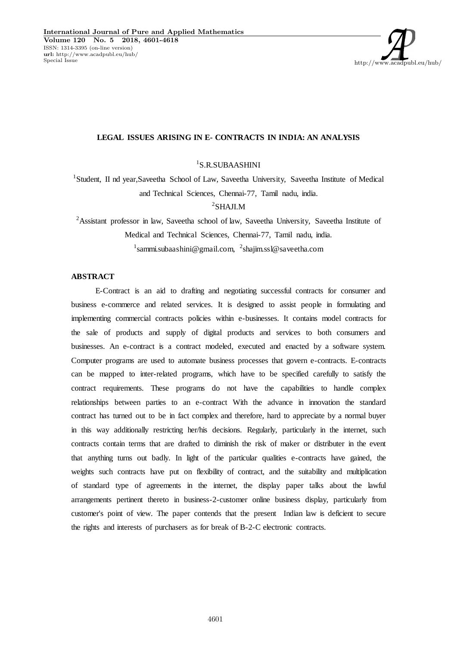

# **LEGAL ISSUES ARISING IN E- CONTRACTS IN INDIA: AN ANALYSIS**

 $1$ S.R.SUBAASHINI

<sup>1</sup>Student, II nd year,Saveetha School of Law, Saveetha University, Saveetha Institute of Medical and Technical Sciences, Chennai-77, Tamil nadu, india.

<sup>2</sup>SHAJI.M

<sup>2</sup>Assistant professor in law, Saveetha school of law, Saveetha University, Saveetha Institute of Medical and Technical Sciences, Chennai-77, Tamil nadu, india. <sup>1</sup>sammi.subaashini@gmail.com, <sup>2</sup>shajim.ssl@saveetha.com

# **ABSTRACT**

E-Contract is an aid to drafting and negotiating successful contracts for consumer and business e-commerce and related services. It is designed to assist people in formulating and implementing commercial contracts policies within e-businesses. It contains model contracts for the sale of products and supply of digital products and services to both consumers and businesses. An e-contract is a contract modeled, executed and enacted by a software system. Computer programs are used to automate business processes that govern e-contracts. E-contracts can be mapped to inter-related programs, which have to be specified carefully to satisfy the contract requirements. These programs do not have the capabilities to handle complex relationships between parties to an e-contract With the advance in innovation the standard contract has turned out to be in fact complex and therefore, hard to appreciate by a normal buyer in this way additionally restricting her/his decisions. Regularly, particularly in the internet, such contracts contain terms that are drafted to diminish the risk of maker or distributer in the event that anything turns out badly. In light of the particular qualities e-contracts have gained, the weights such contracts have put on flexibility of contract, and the suitability and multiplication of standard type of agreements in the internet, the display paper talks about the lawful arrangements pertinent thereto in business-2-customer online business display, particularly from customer's point of view. The paper contends that the present Indian law is deficient to secure the rights and interests of purchasers as for break of B-2-C electronic contracts.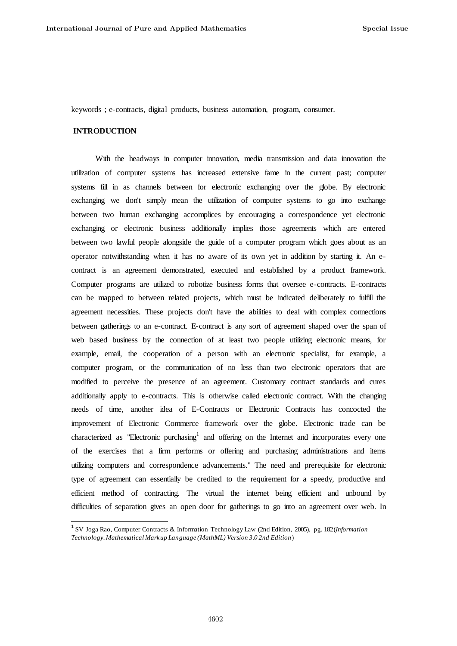keywords ; e-contracts, digital products, business automation, program, consumer.

# **INTRODUCTION**

 $\overline{a}$ 

With the headways in computer innovation, media transmission and data innovation the utilization of computer systems has increased extensive fame in the current past; computer systems fill in as channels between for electronic exchanging over the globe. By electronic exchanging we don't simply mean the utilization of computer systems to go into exchange between two human exchanging accomplices by encouraging a correspondence yet electronic exchanging or electronic business additionally implies those agreements which are entered between two lawful people alongside the guide of a computer program which goes about as an operator notwithstanding when it has no aware of its own yet in addition by starting it. An econtract is an agreement demonstrated, executed and established by a product framework. Computer programs are utilized to robotize business forms that oversee e-contracts. E-contracts can be mapped to between related projects, which must be indicated deliberately to fulfill the agreement necessities. These projects don't have the abilities to deal with complex connections between gatherings to an e-contract. E-contract is any sort of agreement shaped over the span of web based business by the connection of at least two people utilizing electronic means, for example, email, the cooperation of a person with an electronic specialist, for example, a computer program, or the communication of no less than two electronic operators that are modified to perceive the presence of an agreement. Customary contract standards and cures additionally apply to e-contracts. This is otherwise called electronic contract. With the changing needs of time, another idea of E-Contracts or Electronic Contracts has concocted the improvement of Electronic Commerce framework over the globe. Electronic trade can be characterized as "Electronic purchasing<sup>1</sup> and offering on the Internet and incorporates every one of the exercises that a firm performs or offering and purchasing administrations and items utilizing computers and correspondence advancements." The need and prerequisite for electronic type of agreement can essentially be credited to the requirement for a speedy, productive and efficient method of contracting. The virtual the internet being efficient and unbound by difficulties of separation gives an open door for gatherings to go into an agreement over web. In

<sup>1</sup> SV Joga Rao, Computer Contracts & Information Technology Law (2nd Edition, 2005), pg. 182(*Information Technology. Mathematical Markup Language (MathML) Version 3.0 2nd Edition*)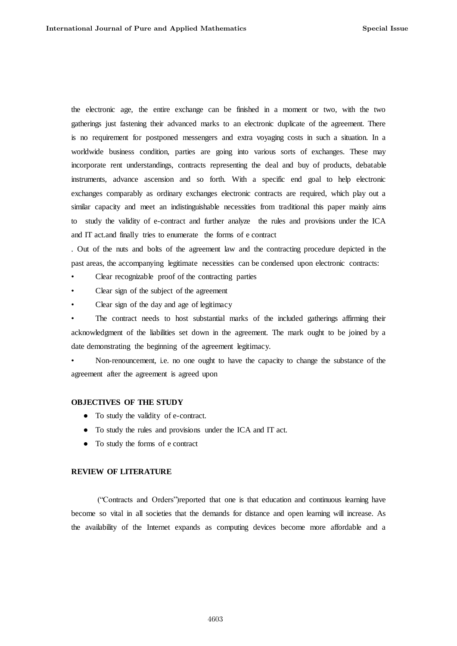the electronic age, the entire exchange can be finished in a moment or two, with the two gatherings just fastening their advanced marks to an electronic duplicate of the agreement. There is no requirement for postponed messengers and extra voyaging costs in such a situation. In a worldwide business condition, parties are going into various sorts of exchanges. These may incorporate rent understandings, contracts representing the deal and buy of products, debatable instruments, advance ascension and so forth. With a specific end goal to help electronic exchanges comparably as ordinary exchanges electronic contracts are required, which play out a similar capacity and meet an indistinguishable necessities from traditional this paper mainly aims to study the validity of e-contract and further analyze the rules and provisions under the ICA and IT act.and finally tries to enumerate the forms of e contract

. Out of the nuts and bolts of the agreement law and the contracting procedure depicted in the past areas, the accompanying legitimate necessities can be condensed upon electronic contracts:

- Clear recognizable proof of the contracting parties
- Clear sign of the subject of the agreement
- Clear sign of the day and age of legitimacy

The contract needs to host substantial marks of the included gatherings affirming their acknowledgment of the liabilities set down in the agreement. The mark ought to be joined by a date demonstrating the beginning of the agreement legitimacy.

• Non-renouncement, i.e. no one ought to have the capacity to change the substance of the agreement after the agreement is agreed upon

# **OBJECTIVES OF THE STUDY**

- To study the validity of e-contract.
- To study the rules and provisions under the ICA and IT act.
- To study the forms of e contract

## **REVIEW OF LITERATURE**

(―Contracts and Orders‖)reported that one is that education and continuous learning have become so vital in all societies that the demands for distance and open learning will increase. As the availability of the Internet expands as computing devices become more affordable and a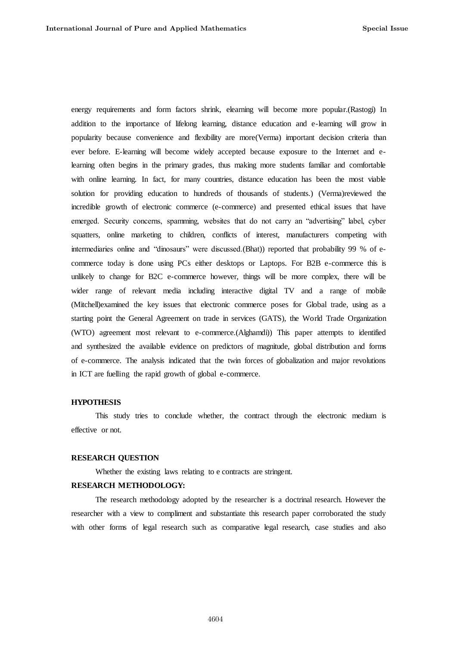energy requirements and form factors shrink, elearning will become more popular.(Rastogi) In addition to the importance of lifelong learning, distance education and e-learning will grow in popularity because convenience and flexibility are more(Verma) important decision criteria than ever before. E-learning will become widely accepted because exposure to the Internet and elearning often begins in the primary grades, thus making more students familiar and comfortable with online learning. In fact, for many countries, distance education has been the most viable solution for providing education to hundreds of thousands of students.) (Verma)reviewed the incredible growth of electronic commerce (e-commerce) and presented ethical issues that have emerged. Security concerns, spamming, websites that do not carry an "advertising" label, cyber squatters, online marketing to children, conflicts of interest, manufacturers competing with intermediaries online and "dinosaurs" were discussed.(Bhat)) reported that probability 99 % of ecommerce today is done using PCs either desktops or Laptops. For B2B e-commerce this is unlikely to change for B2C e-commerce however, things will be more complex, there will be wider range of relevant media including interactive digital TV and a range of mobile (Mitchell)examined the key issues that electronic commerce poses for Global trade, using as a starting point the General Agreement on trade in services (GATS), the World Trade Organization (WTO) agreement most relevant to e-commerce.(Alghamdi)) This paper attempts to identified and synthesized the available evidence on predictors of magnitude, global distribution and forms of e-commerce. The analysis indicated that the twin forces of globalization and major revolutions in ICT are fuelling the rapid growth of global e-commerce.

#### **HYPOTHESIS**

This study tries to conclude whether, the contract through the electronic medium is effective or not.

# **RESEARCH QUESTION**

Whether the existing laws relating to e contracts are stringent.

# **RESEARCH METHODOLOGY:**

The research methodology adopted by the researcher is a doctrinal research. However the researcher with a view to compliment and substantiate this research paper corroborated the study with other forms of legal research such as comparative legal research, case studies and also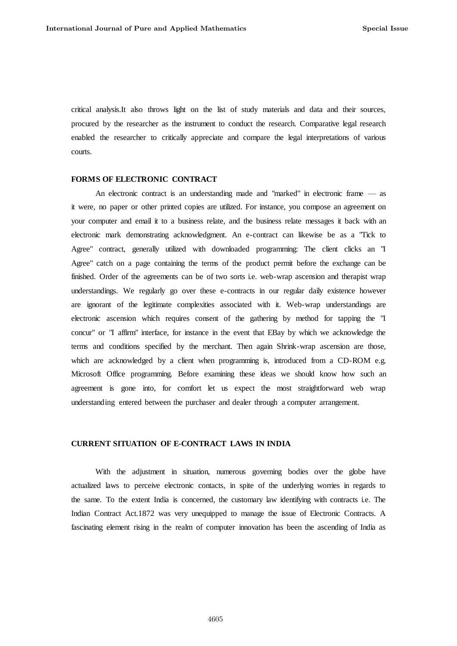critical analysis.It also throws light on the list of study materials and data and their sources, procured by the researcher as the instrument to conduct the research. Comparative legal research enabled the researcher to critically appreciate and compare the legal interpretations of various courts.

#### **FORMS OF ELECTRONIC CONTRACT**

An electronic contract is an understanding made and "marked" in electronic frame — as it were, no paper or other printed copies are utilized. For instance, you compose an agreement on your computer and email it to a business relate, and the business relate messages it back with an electronic mark demonstrating acknowledgment. An e-contract can likewise be as a "Tick to Agree" contract, generally utilized with downloaded programming: The client clicks an "I Agree" catch on a page containing the terms of the product permit before the exchange can be finished. Order of the agreements can be of two sorts i.e. web-wrap ascension and therapist wrap understandings. We regularly go over these e-contracts in our regular daily existence however are ignorant of the legitimate complexities associated with it. Web-wrap understandings are electronic ascension which requires consent of the gathering by method for tapping the "I concur" or "I affirm" interface, for instance in the event that EBay by which we acknowledge the terms and conditions specified by the merchant. Then again Shrink-wrap ascension are those, which are acknowledged by a client when programming is, introduced from a CD-ROM e.g. Microsoft Office programming. Before examining these ideas we should know how such an agreement is gone into, for comfort let us expect the most straightforward web wrap understanding entered between the purchaser and dealer through a computer arrangement.

# **CURRENT SITUATION OF E-CONTRACT LAWS IN INDIA**

With the adjustment in situation, numerous governing bodies over the globe have actualized laws to perceive electronic contacts, in spite of the underlying worries in regards to the same. To the extent India is concerned, the customary law identifying with contracts i.e. The Indian Contract Act.1872 was very unequipped to manage the issue of Electronic Contracts. A fascinating element rising in the realm of computer innovation has been the ascending of India as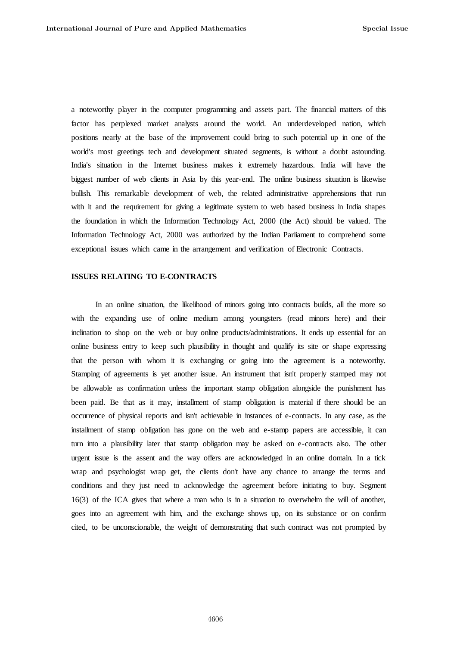a noteworthy player in the computer programming and assets part. The financial matters of this factor has perplexed market analysts around the world. An underdeveloped nation, which positions nearly at the base of the improvement could bring to such potential up in one of the world's most greetings tech and development situated segments, is without a doubt astounding. India's situation in the Internet business makes it extremely hazardous. India will have the biggest number of web clients in Asia by this year-end. The online business situation is likewise bullish. This remarkable development of web, the related administrative apprehensions that run with it and the requirement for giving a legitimate system to web based business in India shapes the foundation in which the Information Technology Act, 2000 (the Act) should be valued. The Information Technology Act, 2000 was authorized by the Indian Parliament to comprehend some exceptional issues which came in the arrangement and verification of Electronic Contracts.

## **ISSUES RELATING TO E-CONTRACTS**

In an online situation, the likelihood of minors going into contracts builds, all the more so with the expanding use of online medium among youngsters (read minors here) and their inclination to shop on the web or buy online products/administrations. It ends up essential for an online business entry to keep such plausibility in thought and qualify its site or shape expressing that the person with whom it is exchanging or going into the agreement is a noteworthy. Stamping of agreements is yet another issue. An instrument that isn't properly stamped may not be allowable as confirmation unless the important stamp obligation alongside the punishment has been paid. Be that as it may, installment of stamp obligation is material if there should be an occurrence of physical reports and isn't achievable in instances of e-contracts. In any case, as the installment of stamp obligation has gone on the web and e-stamp papers are accessible, it can turn into a plausibility later that stamp obligation may be asked on e-contracts also. The other urgent issue is the assent and the way offers are acknowledged in an online domain. In a tick wrap and psychologist wrap get, the clients don't have any chance to arrange the terms and conditions and they just need to acknowledge the agreement before initiating to buy. Segment 16(3) of the ICA gives that where a man who is in a situation to overwhelm the will of another, goes into an agreement with him, and the exchange shows up, on its substance or on confirm cited, to be unconscionable, the weight of demonstrating that such contract was not prompted by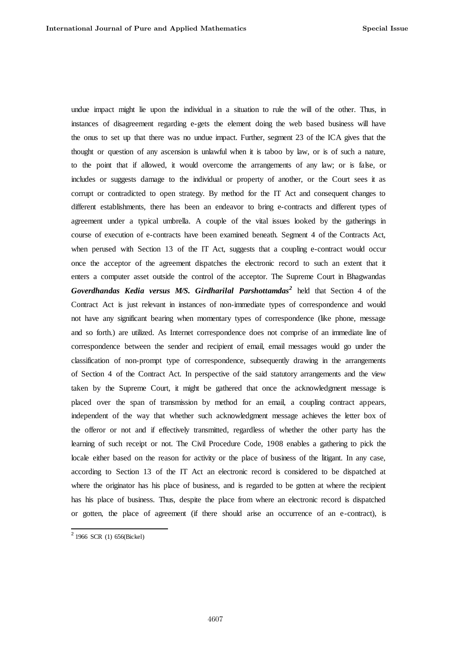undue impact might lie upon the individual in a situation to rule the will of the other. Thus, in instances of disagreement regarding e-gets the element doing the web based business will have the onus to set up that there was no undue impact. Further, segment 23 of the ICA gives that the thought or question of any ascension is unlawful when it is taboo by law, or is of such a nature, to the point that if allowed, it would overcome the arrangements of any law; or is false, or includes or suggests damage to the individual or property of another, or the Court sees it as corrupt or contradicted to open strategy. By method for the IT Act and consequent changes to different establishments, there has been an endeavor to bring e-contracts and different types of agreement under a typical umbrella. A couple of the vital issues looked by the gatherings in course of execution of e-contracts have been examined beneath. Segment 4 of the Contracts Act, when perused with Section 13 of the IT Act, suggests that a coupling e-contract would occur once the acceptor of the agreement dispatches the electronic record to such an extent that it enters a computer asset outside the control of the acceptor. The Supreme Court in Bhagwandas *Goverdhandas Kedia versus M/S. Girdharilal Parshottamdas<sup>2</sup>* held that Section 4 of the Contract Act is just relevant in instances of non-immediate types of correspondence and would not have any significant bearing when momentary types of correspondence (like phone, message and so forth.) are utilized. As Internet correspondence does not comprise of an immediate line of correspondence between the sender and recipient of email, email messages would go under the classification of non-prompt type of correspondence, subsequently drawing in the arrangements of Section 4 of the Contract Act. In perspective of the said statutory arrangements and the view taken by the Supreme Court, it might be gathered that once the acknowledgment message is placed over the span of transmission by method for an email, a coupling contract appears, independent of the way that whether such acknowledgment message achieves the letter box of the offeror or not and if effectively transmitted, regardless of whether the other party has the learning of such receipt or not. The Civil Procedure Code, 1908 enables a gathering to pick the locale either based on the reason for activity or the place of business of the litigant. In any case, according to Section 13 of the IT Act an electronic record is considered to be dispatched at where the originator has his place of business, and is regarded to be gotten at where the recipient has his place of business. Thus, despite the place from where an electronic record is dispatched or gotten, the place of agreement (if there should arise an occurrence of an e-contract), is

 2 1966 SCR (1) 656(Bickel)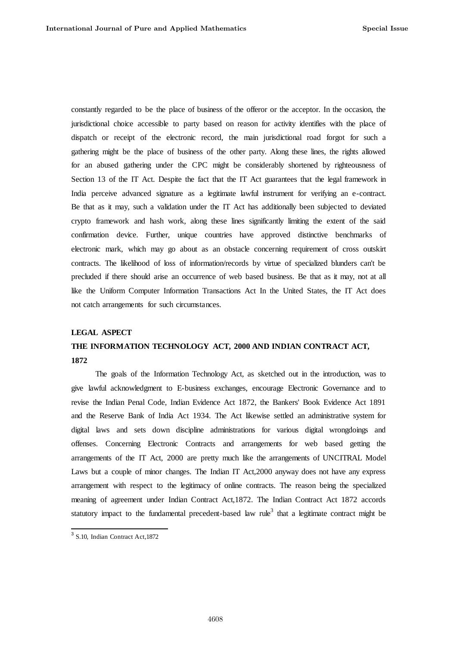constantly regarded to be the place of business of the offeror or the acceptor. In the occasion, the jurisdictional choice accessible to party based on reason for activity identifies with the place of dispatch or receipt of the electronic record, the main jurisdictional road forgot for such a gathering might be the place of business of the other party. Along these lines, the rights allowed for an abused gathering under the CPC might be considerably shortened by righteousness of Section 13 of the IT Act. Despite the fact that the IT Act guarantees that the legal framework in India perceive advanced signature as a legitimate lawful instrument for verifying an e-contract. Be that as it may, such a validation under the IT Act has additionally been subjected to deviated crypto framework and hash work, along these lines significantly limiting the extent of the said confirmation device. Further, unique countries have approved distinctive benchmarks of electronic mark, which may go about as an obstacle concerning requirement of cross outskirt contracts. The likelihood of loss of information/records by virtue of specialized blunders can't be precluded if there should arise an occurrence of web based business. Be that as it may, not at all like the Uniform Computer Information Transactions Act In the United States, the IT Act does not catch arrangements for such circumstances.

## **LEGAL ASPECT**

# **THE INFORMATION TECHNOLOGY ACT, 2000 AND INDIAN CONTRACT ACT, 1872**

The goals of the Information Technology Act, as sketched out in the introduction, was to give lawful acknowledgment to E-business exchanges, encourage Electronic Governance and to revise the Indian Penal Code, Indian Evidence Act 1872, the Bankers' Book Evidence Act 1891 and the Reserve Bank of India Act 1934. The Act likewise settled an administrative system for digital laws and sets down discipline administrations for various digital wrongdoings and offenses. Concerning Electronic Contracts and arrangements for web based getting the arrangements of the IT Act, 2000 are pretty much like the arrangements of UNCITRAL Model Laws but a couple of minor changes. The Indian IT Act,2000 anyway does not have any express arrangement with respect to the legitimacy of online contracts. The reason being the specialized meaning of agreement under Indian Contract Act,1872. The Indian Contract Act 1872 accords statutory impact to the fundamental precedent-based law rule<sup>3</sup> that a legitimate contract might be

<sup>&</sup>lt;sup>3</sup> S.10, Indian Contract Act, 1872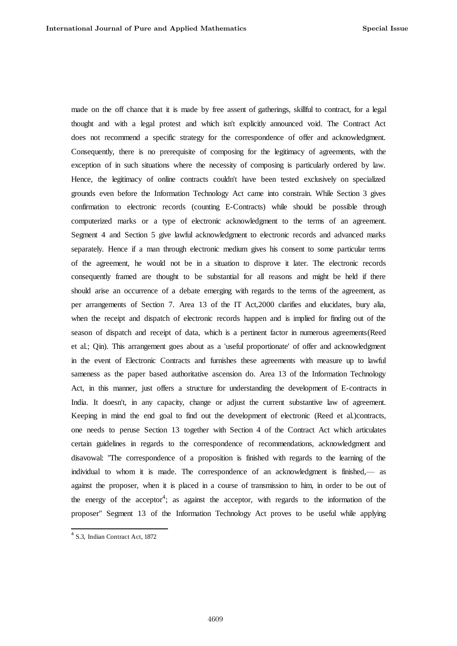made on the off chance that it is made by free assent of gatherings, skillful to contract, for a legal thought and with a legal protest and which isn't explicitly announced void. The Contract Act does not recommend a specific strategy for the correspondence of offer and acknowledgment. Consequently, there is no prerequisite of composing for the legitimacy of agreements, with the exception of in such situations where the necessity of composing is particularly ordered by law. Hence, the legitimacy of online contracts couldn't have been tested exclusively on specialized grounds even before the Information Technology Act came into constrain. While Section 3 gives confirmation to electronic records (counting E-Contracts) while should be possible through computerized marks or a type of electronic acknowledgment to the terms of an agreement. Segment 4 and Section 5 give lawful acknowledgment to electronic records and advanced marks separately. Hence if a man through electronic medium gives his consent to some particular terms of the agreement, he would not be in a situation to disprove it later. The electronic records consequently framed are thought to be substantial for all reasons and might be held if there should arise an occurrence of a debate emerging with regards to the terms of the agreement, as per arrangements of Section 7. Area 13 of the IT Act,2000 clarifies and elucidates, bury alia, when the receipt and dispatch of electronic records happen and is implied for finding out of the season of dispatch and receipt of data, which is a pertinent factor in numerous agreements(Reed et al.; Qin). This arrangement goes about as a 'useful proportionate' of offer and acknowledgment in the event of Electronic Contracts and furnishes these agreements with measure up to lawful sameness as the paper based authoritative ascension do. Area 13 of the Information Technology Act, in this manner, just offers a structure for understanding the development of E-contracts in India. It doesn't, in any capacity, change or adjust the current substantive law of agreement. Keeping in mind the end goal to find out the development of electronic (Reed et al.)contracts, one needs to peruse Section 13 together with Section 4 of the Contract Act which articulates certain guidelines in regards to the correspondence of recommendations, acknowledgment and disavowal: "The correspondence of a proposition is finished with regards to the learning of the individual to whom it is made. The correspondence of an acknowledgment is finished,— as against the proposer, when it is placed in a course of transmission to him, in order to be out of the energy of the acceptor<sup>4</sup>; as against the acceptor, with regards to the information of the proposer" Segment 13 of the Information Technology Act proves to be useful while applying

<sup>4</sup> S.3, Indian Contract Act, 1872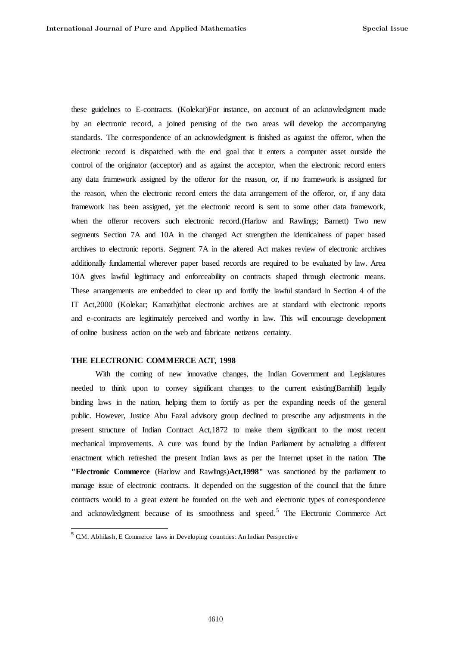these guidelines to E-contracts. (Kolekar)For instance, on account of an acknowledgment made by an electronic record, a joined perusing of the two areas will develop the accompanying standards. The correspondence of an acknowledgment is finished as against the offeror, when the electronic record is dispatched with the end goal that it enters a computer asset outside the control of the originator (acceptor) and as against the acceptor, when the electronic record enters any data framework assigned by the offeror for the reason, or, if no framework is assigned for the reason, when the electronic record enters the data arrangement of the offeror, or, if any data framework has been assigned, yet the electronic record is sent to some other data framework, when the offeror recovers such electronic record.(Harlow and Rawlings; Barnett) Two new segments Section 7A and 10A in the changed Act strengthen the identicalness of paper based archives to electronic reports. Segment 7A in the altered Act makes review of electronic archives additionally fundamental wherever paper based records are required to be evaluated by law. Area 10A gives lawful legitimacy and enforceability on contracts shaped through electronic means. These arrangements are embedded to clear up and fortify the lawful standard in Section 4 of the IT Act,2000 (Kolekar; Kamath)that electronic archives are at standard with electronic reports and e-contracts are legitimately perceived and worthy in law. This will encourage development of online business action on the web and fabricate netizens certainty.

# **THE ELECTRONIC COMMERCE ACT, 1998**

 $\overline{a}$ 

With the coming of new innovative changes, the Indian Government and Legislatures needed to think upon to convey significant changes to the current existing(Barnhill) legally binding laws in the nation, helping them to fortify as per the expanding needs of the general public. However, Justice Abu Fazal advisory group declined to prescribe any adjustments in the present structure of Indian Contract Act,1872 to make them significant to the most recent mechanical improvements. A cure was found by the Indian Parliament by actualizing a different enactment which refreshed the present Indian laws as per the Internet upset in the nation. **The "Electronic Commerce** (Harlow and Rawlings)**Act,1998"** was sanctioned by the parliament to manage issue of electronic contracts. It depended on the suggestion of the council that the future contracts would to a great extent be founded on the web and electronic types of correspondence and acknowledgment because of its smoothness and speed.<sup>5</sup> The Electronic Commerce Act

 $5$  C.M. Abhilash, E Commerce laws in Developing countries: An Indian Perspective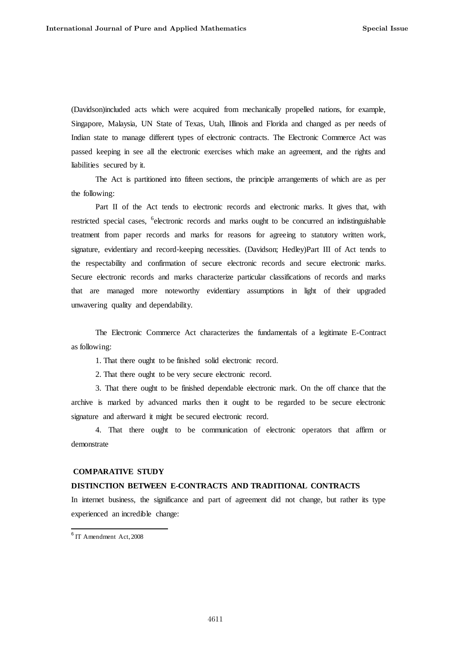(Davidson)included acts which were acquired from mechanically propelled nations, for example, Singapore, Malaysia, UN State of Texas, Utah, Illinois and Florida and changed as per needs of Indian state to manage different types of electronic contracts. The Electronic Commerce Act was passed keeping in see all the electronic exercises which make an agreement, and the rights and liabilities secured by it.

The Act is partitioned into fifteen sections, the principle arrangements of which are as per the following:

Part II of the Act tends to electronic records and electronic marks. It gives that, with restricted special cases, <sup>6</sup>electronic records and marks ought to be concurred an indistinguishable treatment from paper records and marks for reasons for agreeing to statutory written work, signature, evidentiary and record-keeping necessities. (Davidson; Hedley)Part III of Act tends to the respectability and confirmation of secure electronic records and secure electronic marks. Secure electronic records and marks characterize particular classifications of records and marks that are managed more noteworthy evidentiary assumptions in light of their upgraded unwavering quality and dependability.

The Electronic Commerce Act characterizes the fundamentals of a legitimate E-Contract as following:

1. That there ought to be finished solid electronic record.

2. That there ought to be very secure electronic record.

3. That there ought to be finished dependable electronic mark. On the off chance that the archive is marked by advanced marks then it ought to be regarded to be secure electronic signature and afterward it might be secured electronic record.

4. That there ought to be communication of electronic operators that affirm or demonstrate

#### **COMPARATIVE STUDY**

# **DISTINCTION BETWEEN E-CONTRACTS AND TRADITIONAL CONTRACTS**

In internet business, the significance and part of agreement did not change, but rather its type experienced an incredible change:

 6 IT Amendment Act, 2008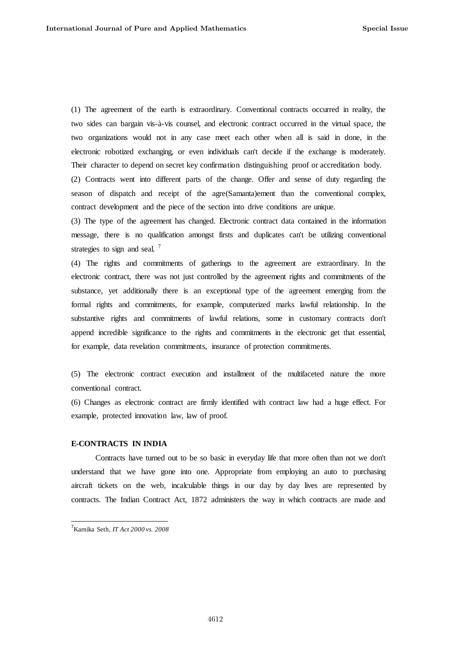(1) The agreement of the earth is extraordinary. Conventional contracts occurred in reality, the two sides can bargain vis-à-vis counsel, and electronic contract occurred in the virtual space, the two organizations would not in any case meet each other when all is said in done, in the electronic robotized exchanging, or even individuals can't decide if the exchange is moderately. Their character to depend on secret key confirmation distinguishing proof or accreditation body. (2) Contracts went into different parts of the change. Offer and sense of duty regarding the season of dispatch and receipt of the agre(Samanta)ement than the conventional complex, contract development and the piece of the section into drive conditions are unique.

(3) The type of the agreement has changed. Electronic contract data contained in the information message, there is no qualification amongst firsts and duplicates can't be utilizing conventional strategies to sign and seal.<sup>7</sup>

(4) The rights and commitments of gatherings to the agreement are extraordinary. In the electronic contract, there was not just controlled by the agreement rights and commitments of the substance, yet additionally there is an exceptional type of the agreement emerging from the formal rights and commitments, for example, computerized marks lawful relationship. In the substantive rights and commitments of lawful relations, some in customary contracts don't append incredible significance to the rights and commitments in the electronic get that essential, for example, data revelation commitments, insurance of protection commitments.

(5) The electronic contract execution and installment of the multifaceted nature the more conventional contract.

(6) Changes as electronic contract are firmly identified with contract law had a huge effect. For example, protected innovation law, law of proof.

# **E-CONTRACTS IN INDIA**

Contracts have turned out to be so basic in everyday life that more often than not we don't understand that we have gone into one. Appropriate from employing an auto to purchasing aircraft tickets on the web, incalculable things in our day by day lives are represented by contracts. The Indian Contract Act, 1872 administers the way in which contracts are made and

<sup>7</sup>Karnika Seth, *IT Act 2000 vs. 2008*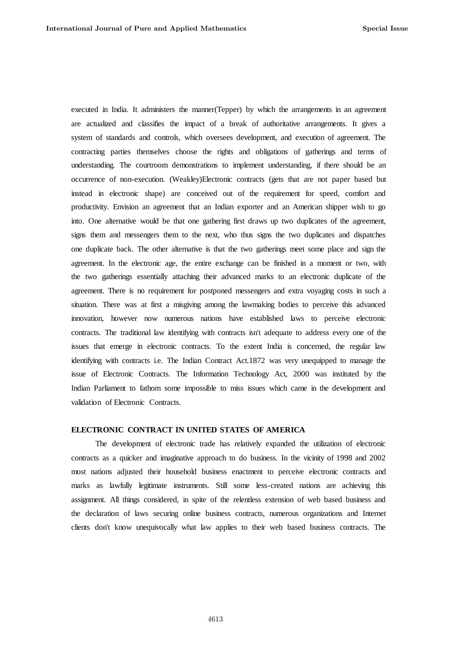executed in India. It administers the manner(Tepper) by which the arrangements in an agreement are actualized and classifies the impact of a break of authoritative arrangements. It gives a system of standards and controls, which oversees development, and execution of agreement. The contracting parties themselves choose the rights and obligations of gatherings and terms of understanding. The courtroom demonstrations to implement understanding, if there should be an occurrence of non-execution. (Weakley)Electronic contracts (gets that are not paper based but instead in electronic shape) are conceived out of the requirement for speed, comfort and productivity. Envision an agreement that an Indian exporter and an American shipper wish to go into. One alternative would be that one gathering first draws up two duplicates of the agreement, signs them and messengers them to the next, who thus signs the two duplicates and dispatches one duplicate back. The other alternative is that the two gatherings meet some place and sign the agreement. In the electronic age, the entire exchange can be finished in a moment or two, with the two gatherings essentially attaching their advanced marks to an electronic duplicate of the agreement. There is no requirement for postponed messengers and extra voyaging costs in such a situation. There was at first a misgiving among the lawmaking bodies to perceive this advanced innovation, however now numerous nations have established laws to perceive electronic contracts. The traditional law identifying with contracts isn't adequate to address every one of the issues that emerge in electronic contracts. To the extent India is concerned, the regular law identifying with contracts i.e. The Indian Contract Act.1872 was very unequipped to manage the issue of Electronic Contracts. The Information Technology Act, 2000 was instituted by the Indian Parliament to fathom some impossible to miss issues which came in the development and validation of Electronic Contracts.

## **ELECTRONIC CONTRACT IN UNITED STATES OF AMERICA**

The development of electronic trade has relatively expanded the utilization of electronic contracts as a quicker and imaginative approach to do business. In the vicinity of 1998 and 2002 most nations adjusted their household business enactment to perceive electronic contracts and marks as lawfully legitimate instruments. Still some less-created nations are achieving this assignment. All things considered, in spite of the relentless extension of web based business and the declaration of laws securing online business contracts, numerous organizations and Internet clients don't know unequivocally what law applies to their web based business contracts. The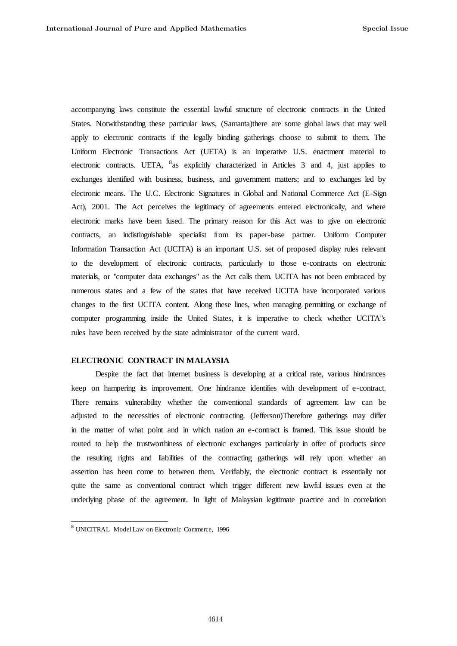accompanying laws constitute the essential lawful structure of electronic contracts in the United States. Notwithstanding these particular laws, (Samanta)there are some global laws that may well apply to electronic contracts if the legally binding gatherings choose to submit to them. The Uniform Electronic Transactions Act (UETA) is an imperative U.S. enactment material to electronic contracts. UETA, <sup>8</sup> as explicitly characterized in Articles 3 and 4, just applies to exchanges identified with business, business, and government matters; and to exchanges led by electronic means. The U.C. Electronic Signatures in Global and National Commerce Act (E-Sign Act), 2001. The Act perceives the legitimacy of agreements entered electronically, and where electronic marks have been fused. The primary reason for this Act was to give on electronic contracts, an indistinguishable specialist from its paper-base partner. Uniform Computer Information Transaction Act (UCITA) is an important U.S. set of proposed display rules relevant to the development of electronic contracts, particularly to those e-contracts on electronic materials, or "computer data exchanges" as the Act calls them. UCITA has not been embraced by numerous states and a few of the states that have received UCITA have incorporated various changes to the first UCITA content. Along these lines, when managing permitting or exchange of computer programming inside the United States, it is imperative to check whether UCITA"s rules have been received by the state administrator of the current ward.

# **ELECTRONIC CONTRACT IN MALAYSIA**

Despite the fact that internet business is developing at a critical rate, various hindrances keep on hampering its improvement. One hindrance identifies with development of e-contract. There remains vulnerability whether the conventional standards of agreement law can be adjusted to the necessities of electronic contracting. (Jefferson)Therefore gatherings may differ in the matter of what point and in which nation an e-contract is framed. This issue should be routed to help the trustworthiness of electronic exchanges particularly in offer of products since the resulting rights and liabilities of the contracting gatherings will rely upon whether an assertion has been come to between them. Verifiably, the electronic contract is essentially not quite the same as conventional contract which trigger different new lawful issues even at the underlying phase of the agreement. In light of Malaysian legitimate practice and in correlation

<sup>&</sup>lt;sup>8</sup> UNICITRAL Model Law on Electronic Commerce, 1996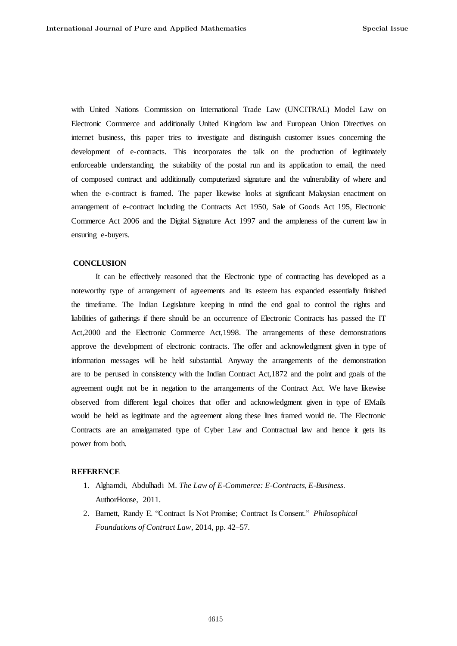with United Nations Commission on International Trade Law (UNCITRAL) Model Law on Electronic Commerce and additionally United Kingdom law and European Union Directives on internet business, this paper tries to investigate and distinguish customer issues concerning the development of e-contracts. This incorporates the talk on the production of legitimately enforceable understanding, the suitability of the postal run and its application to email, the need of composed contract and additionally computerized signature and the vulnerability of where and when the e-contract is framed. The paper likewise looks at significant Malaysian enactment on arrangement of e-contract including the Contracts Act 1950, Sale of Goods Act 195, Electronic Commerce Act 2006 and the Digital Signature Act 1997 and the ampleness of the current law in ensuring e-buyers.

## **CONCLUSION**

It can be effectively reasoned that the Electronic type of contracting has developed as a noteworthy type of arrangement of agreements and its esteem has expanded essentially finished the timeframe. The Indian Legislature keeping in mind the end goal to control the rights and liabilities of gatherings if there should be an occurrence of Electronic Contracts has passed the IT Act,2000 and the Electronic Commerce Act,1998. The arrangements of these demonstrations approve the development of electronic contracts. The offer and acknowledgment given in type of information messages will be held substantial. Anyway the arrangements of the demonstration are to be perused in consistency with the Indian Contract Act,1872 and the point and goals of the agreement ought not be in negation to the arrangements of the Contract Act. We have likewise observed from different legal choices that offer and acknowledgment given in type of EMails would be held as legitimate and the agreement along these lines framed would tie. The Electronic Contracts are an amalgamated type of Cyber Law and Contractual law and hence it gets its power from both.

# **REFERENCE**

- 1. Alghamdi, Abdulhadi M. *The Law of E-Commerce: E-Contracts, E-Business*. AuthorHouse, 2011.
- 2. Barnett, Randy E. "Contract Is Not Promise; Contract Is Consent." *Philosophical Foundations of Contract Law*, 2014, pp. 42–57.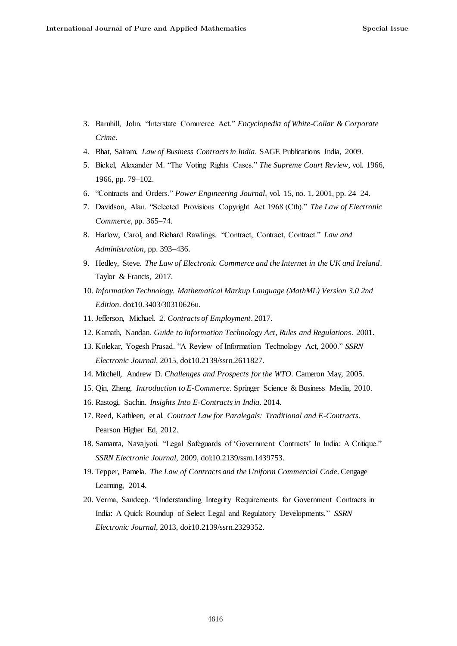- 3. Barnhill, John. ―Interstate Commerce Act.‖ *Encyclopedia of White-Collar & Corporate Crime*.
- 4. Bhat, Sairam. *Law of Business Contracts in India*. SAGE Publications India, 2009.
- 5. Bickel, Alexander M. "The Voting Rights Cases." The Supreme Court Review, vol. 1966, 1966, pp. 79–102.
- 6. ―Contracts and Orders.‖ *Power Engineering Journal*, vol. 15, no. 1, 2001, pp. 24–24.
- 7. Davidson, Alan. "Selected Provisions Copyright Act 1968 (Cth)." The Law of Electronic *Commerce*, pp. 365–74.
- 8. Harlow, Carol, and Richard Rawlings. "Contract, Contract, Contract." Law and *Administration*, pp. 393–436.
- 9. Hedley, Steve. *The Law of Electronic Commerce and the Internet in the UK and Ireland*. Taylor & Francis, 2017.
- 10. *Information Technology. Mathematical Markup Language (MathML) Version 3.0 2nd Edition*. doi:10.3403/30310626u.
- 11. Jefferson, Michael. *2. Contracts of Employment*. 2017.
- 12. Kamath, Nandan. *Guide to Information Technology Act, Rules and Regulations*. 2001.
- 13. Kolekar, Yogesh Prasad. "A Review of Information Technology Act, 2000." *SSRN Electronic Journal*, 2015, doi:10.2139/ssrn.2611827.
- 14. Mitchell, Andrew D. *Challenges and Prospects for the WTO*. Cameron May, 2005.
- 15. Qin, Zheng. *Introduction to E-Commerce*. Springer Science & Business Media, 2010.
- 16. Rastogi, Sachin. *Insights Into E-Contracts in India*. 2014.
- 17. Reed, Kathleen, et al. *Contract Law for Paralegals: Traditional and E-Contracts*. Pearson Higher Ed, 2012.
- 18. Samanta, Navajyoti. "Legal Safeguards of 'Government Contracts' In India: A Critique." *SSRN Electronic Journal*, 2009, doi:10.2139/ssrn.1439753.
- 19. Tepper, Pamela. *The Law of Contracts and the Uniform Commercial Code*. Cengage Learning, 2014.
- 20. Verma, Sandeep. "Understanding Integrity Requirements for Government Contracts in India: A Quick Roundup of Select Legal and Regulatory Developments." *SSRN Electronic Journal*, 2013, doi:10.2139/ssrn.2329352.